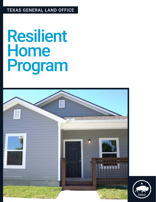#### TEXAS GENERAL LAND OFFICE

# Resilient Home Program



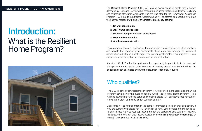## Introduction: What is the Resilient Home Program?



As with HAP, RHP will offer applicants the opportunity to participate in the order of the application submission date. The type of housing offered may be limited by site conditions such as lot size and whether elevation is federally required.

### Who qualifies?

The GLO's Homeowner Assistance Program (HAP) received more applications than the program could serve with available federal funds. The Resilient Home Program (RHP) will use new federal funds to serve additional waitlisted HAP applicants first-come, firstserve, in the order of the application submission date.

Applicants will be notified through the contact information listed on their application. If you are currently waitlisted for HAP and wish to verify your contact information is upto-date, please log in to your application through the portal available at https://recovery. texas.gov/hap. You can also receive assistance by emailing cdr@recovery.texas.gov or calling 1-844-893-8937 or 512-475-5000.

The Resilient Home Program (RHP) will replace owner-occupied single family homes damaged by Hurricane Harvey with a reconstructed home that meets additional resiliency and mitigation standards. Applicants who are waitlisted for the Homeowner Assistance Program (HAP) due to insufficient federal funding will be offered an opportunity to have their homes replaced with one of five improved resiliency options:

This program will serve as a showcase for more resilient residential construction practices and provide the opportunity to disseminate these practices through the residential construction industry on a scale larger than previously attempted. This program will also include standard mitigation measures such as home elevation.

- 1. Tilt-wall construction
- 2. Steel-frame construction
- 3. Structural composite lumber construction
- 4. 3D-printed construction
- 5. Wood-frame construction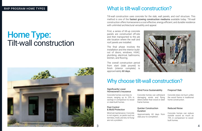## Home Type: Tilt-wall construction



### What is tilt-wall construction?



Tilt-wall construction uses concrete for the slab, wall panels, and roof structure. This method is one of the fastest growing construction mediums available today. Tilt-wall construction offers homeowners a cost-effective, energy-efficient, and durable residence with unlimited architectural versatility and appeal.

First, a series of tilt-up concrete panels are constructed off-site and then transported to the job site location where the wall and roof panels are installed.

The overall construction period from start (slab poured) to finish (interior complete) is approximately 60 days.

The final phase involves the installation and the interior buildout of doors, windows, HVAC, plumbing, electrical, bathrooms, kitchen, and flooring.

#### Quicker Construction **Duration**

#### Significantly Lower Homeowner's Insurance

#### Pest Control & Mold Protection

Concrete homes cost less to insure, ranging up to 25% in savings in comparison to wood or steel-built homes.

Minimal maintenance. Concrete is not organic, so pests such as termites, mold, and dry rot fungi are not a problem.

Concrete homes can withstand damaging winds and flying debris better than wood or steel frame homes.

Approximately 60 days from slab pour to completion.

Concrete does not burn unlike the wood frame in traditional home construction.

Concrete homes can reduce outside sound as much as 75% in comparison to woodbuilt homes.

#### Wind Force Sustainability

#### Fireproof Slab

#### Reduced Noise

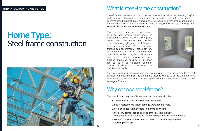

Steel-frame homes are structured more like those with wood frames, meaning they're built by assembling various components–not poured or molded like concrete or concrete-based material. Steel framing offers a strong, accurate, stable, and durable framing alternative to traditional wooden frames. In fact, lightweight steel framing is the superior choice for residential construction.

Steel frames come in a wide range of sizes and shapes, much more so than standard lumber, and yield a high-quality home. Most steel construction involves extremely strong light gauge steel. Prepared in a factory and assembled on-site, steel framing can accommodate essentially any structural need. Buildings can deteriorate over time without regular maintenance and care. Steel framing, however, is a good building alternative because it is known for its ability to withstand common causes of deterioration, requiring low maintenance needs.

Your steel building lifespan can increase if you maintain it regularly and address small damage in a timely manner. There are many reasons why home builders are turning to steel framing as replacements for wood, especially for those who want to leave a smaller ecological footprint.

There are five primary benefits to using steel-frame construction:

- 1. Steel-frame is more durable than wood-frame.
- 2. Better resistance to insect damage, warp, rot and mold.
- 3. Steel buildings last anywhere from 50 to 100 years.
- 4. Steel is widely recognized as one of the safest options for
- 5. Modern steel has rapidly become one of the most energy-efficient building materials.

construction in part due to its natural strength and fire-resistant nature.

### What is steel-frame construction?

## Why choose steel-frame?

## Home Type: Steel-frame construction

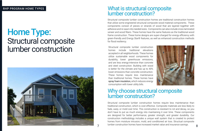

Structural composite lumber construction homes are traditional construction homes that utilize some engineered structural composite wood material components. These components consist of pieces or strands of wood that are layered together with adhesive and re-sawn into needed sizes. Components can also include cross-laminated veneer and wood fibers. These homes have the same features as the traditional wood frame construction. These home designs are super-charged for energy efficiency with green-friendly and Energy Star® features, as well as enhanced construction methods for flood resiliency.

Structural composite lumber construction homes require less maintenance than traditional construction, which is cost effective. Composite materials are less likely to fade, warp, or mold over time. This construction is resistant to rot and decay, so you don't have to put as much energy into maintaining it over time. These components are designed for better performance, greater strength, and greater durability. Our construction methodology includes a unique wall system that is created to protect homes from moisture intrusion, mold, and conditioned air loss. Structual composite lumber construction homes have increased market value and insurance savings.



Structural composite lumber construction homes include traditional elevations accepted in all neighborhoods. These homes utilize sustainable wood components for durability, lower greenhouse emissions, and are less energy-intensive than concrete and steel construction. Building with wood is better for the climate and has up to 40% lower emissions than concrete construction. These homes require less maintenance than traditional homes. These homes have spray foam insulation, which reduces energy consumption with lower utility bills.

#### What is structural composite lumber construction?

#### Why choose structural composite lumber construction?

## Home Type: Structural composite lumber construction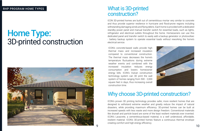#### What is 3D-printed construction?

### Why choose 3D-printed construction?

## Home Type: 3D-printed construction



ICON 3D-printed homes are built out of cementitious mortar very similar to concrete and thus provide superior resilience in hurricane and flood-prone regions including withstanding damaging winds and flying debris. Each home is provided with a dedicated standby power panel and manual transfer switch for essential loads, such as lights, refrigerator and electrical outlets throughout the home. Homeowners can use this dedicated panel and transfer switch to easily add a backup generator or photovoltaic - battery backup system to operate essential loads without reworking the home's electrical service.

ICON's proven 3D printing technology provides safer, more resilient homes that are designed to withstand extreme weather and greatly reduce the impact of natural disasters, while providing maximum efficiency. 3D-printed homes can be built at increased speeds with less waste and more design freedom. Conventional materials like drywall and particle board are some of the least resilient materials ever invented. ICON's Lavacrete, a cementitious-based material, is a well understood, affordable, resilient material. ICON's 3D-printed homes feature a continuous thermal envelope creating comfort and high energy efficiency.



ICON's concrete-based walls provide high thermal mass and increased insulation compared to conventional construction. The thermal mass decreases the home's temperature fluctuations during extreme weather events and combined with the increased insulation reduces energy consumption and lowers homeowner energy bills. ICON's Vulcan construction technology system can 3D print the wall system of homes ranging from 500 - 2,000 square feet in days, thus increasing overall construction time.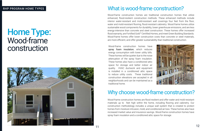

### What is wood-frame construction?

### Why choose wood-frame construction?

## Home Type: Wood-frame construction



Wood-frame construction homes are traditional construction homes that utilize enhanced, flood-resilient construction methods. These enhanced methods include interior water-resistant and mold-resistant wall coverings four feet from the floor, water and mold-resistant flooring, flood-resistant cabinetry. Wood-frame homes utilize sustainable wood components for durability, lower greenhouse emissions, and are less energy-intensive than concrete and steel construction. These homes offer increased flood warranty, are Fortified Gold™ Certified Homes, and meet Green Building Standards. Wood-frame homes offer lower construction costs than concrete or steel materials, are more efficient, and offer greater sustainability than traditional construction.

Wood-frame construction homes are flood resilient and offer water and mold resistant materials up to feet high within the home, including flooring and cabinetry. Our construction methodology includes a unique wall system that is created to protect homes from moisture intrusion, mold, and conditioned air loss. These homes also have increased market value and insurance savings. Wood-frame construction homes have spray foam insulation and a conditioned attic space for storage.

Wood-frame construction homes have spray foam insulation, which reduces energy consumption with lower utility bills. These homes will be quieter due to the noise attenuation of the spray foam insulation. These homes also have a conditioned attic space for storage and better indoor air quality. HVAC ductwork and equipment is installed in a conditioned attic space to reduce utility costs. These traditional construction elevations are accepted in all neighborhoods and can be maintained as a traditional home.